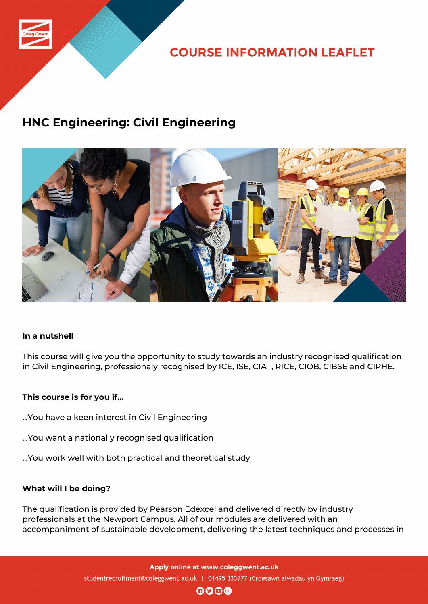

**COURSE INFORMATION LEAFLET** 

## **HNC Engineering: Civil Engineering**



### **In a nutshell**

This course will give you the opportunity to study towards an industry recognised qualification in Civil Engineering, professionaly recognised by ICE, ISE, CIAT, RICE, CIOB, CIBSE and CIPHE.

### **This course is for you if...**

- ...You have a keen interest in Civil Engineering
- ...You want a nationally recognised qualification
- ...You work well with both practical and theoretical study

### **What will I be doing?**

The qualification is provided by Pearson Edexcel and delivered directly by industry professionals at the Newport Campus. All of our modules are delivered with an accompaniment of sustainable development, delivering the latest techniques and processes in

> Apply online at www.coleggwent.ac.uk studentrecruitment@coleggwent.ac.uk | 01495 333777 (Croesawn alwadau yn Gymraeg)

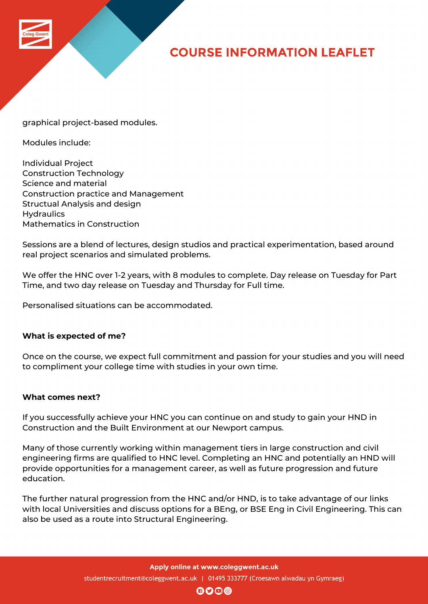

# **COURSE INFORMATION LEAFLET**

graphical project-based modules.

Modules include:

Individual Project Construction Technology Science and material Construction practice and Management Structual Analysis and design **Hydraulics** Mathematics in Construction

Sessions are a blend of lectures, design studios and practical experimentation, based around real project scenarios and simulated problems.

We offer the HNC over 1-2 years, with 8 modules to complete. Day release on Tuesday for Part Time, and two day release on Tuesday and Thursday for Full time.

Personalised situations can be accommodated.

### **What is expected of me?**

Once on the course, we expect full commitment and passion for your studies and you will need to compliment your college time with studies in your own time.

#### **What comes next?**

If you successfully achieve your HNC you can continue on and study to gain your HND in Construction and the Built Environment at our Newport campus.

Many of those currently working within management tiers in large construction and civil engineering firms are qualified to HNC level. Completing an HNC and potentially an HND will provide opportunities for a management career, as well as future progression and future education.

The further natural progression from the HNC and/or HND, is to take advantage of our links with local Universities and discuss options for a BEng, or BSE Eng in Civil Engineering. This can also be used as a route into Structural Engineering.